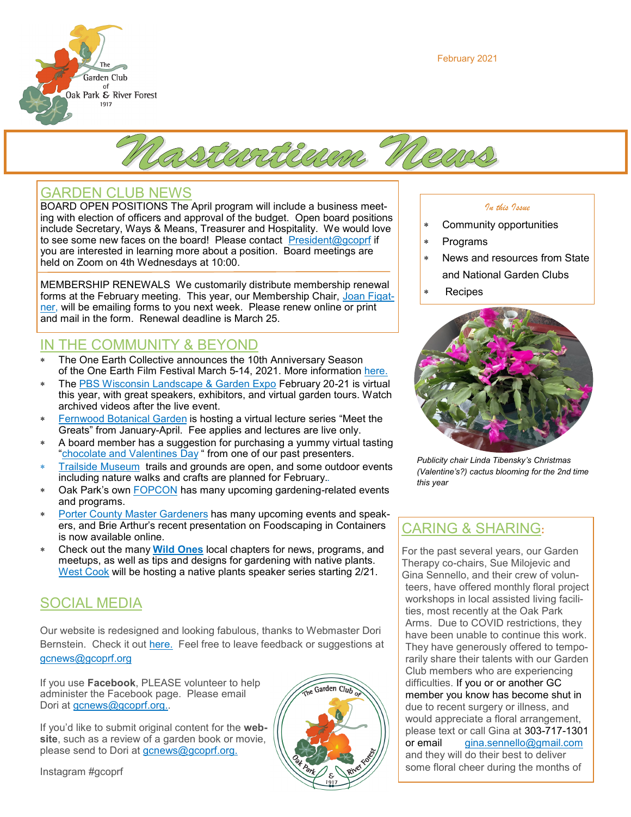February 2021





## GARDEN CLUB NEWS

BOARD OPEN POSITIONS The April program will include a business meeting with election of officers and approval of the budget. Open board positions include Secretary, Ways & Means, Treasurer and Hospitality. We would love to see some new faces on the board! Please contact [President@gcoprf](mailto:President@gcoprf.org) if you are interested in learning more about a position. Board meetings are held on Zoom on 4th Wednesdays at 10:00.

MEMBERSHIP RENEWALS We customarily distribute membership renewal forms at the February meeting. This year, our Membership Chair, [Joan Figat](mailto:membership@gcoprf.org)[ner,](mailto:membership@gcoprf.org) will be emailing forms to you next week. Please renew online or print and mail in the form. Renewal deadline is March 25.

## IN THE COMMUNITY & BEYOND

- The One Earth Collective announces the 10th Anniversary Season of the One Earth Film Festival March 5-14, 2021. More information [here.](https://oneearthcollective.org/)
- The [PBS Wisconsin Landscape & Garden Expo](https://wigardenexpo.com/) February 20-21 is virtual this year, with great speakers, exhibitors, and virtual garden tours. Watch archived videos after the live event.
- [Fernwood Botanical Garden](https://www.fernwoodbotanical.org/virtual-lecture-series) is hosting a virtual lecture series "Meet the Greats" from January-April. Fee applies and lectures are live only.
- A board member has a suggestion for purchasing a yummy virtual tasting "[chocolate and Valentines Day](https://37chocolates.com/2021/01/10/happy-new-year-january-valentines-day-chocolate-tastings)" from one of our past presenters.
- [Trailside Museum](https://fpdcc.com/places/locations/trailside-museum-natural-history) trails and grounds are open, and some outdoor events including nature walks and crafts are planned for February..
- Oak Park's own [FOPCON](https://fopcon.org) has many upcoming gardening-related events and programs.
- [Porter County Master Gardeners](https://www.pcgarden.info) has many upcoming events and speakers, and Brie Arthur's recent presentation on Foodscaping in Containers is now available online.
- Check out the many **[Wild Ones](https://wildones.org)** local chapters for news, programs, and meetups, as well as tips and designs for gardening with native plants. [West Cook](https://westcook.wildones.org) will be hosting a native plants speaker series starting 2/21.

## SOCIAL MEDIA

Our website is redesigned and looking fabulous, thanks to Webmaster Dori Bernstein. Check it out [here.](https://gcoprf.org) Feel free to leave feedback or suggestions at [gcnews@gcoprf.org](mailto:gcnews@gcoprf.org)

If you use **Facebook**, PLEASE volunteer to help administer the Facebook page. Please email Dori at [gcnews@gcoprf.org..](mailto:gcnews@gcoprf.org)

If you'd like to submit original content for the **website**, such as a review of a garden book or movie, please send to Dori at [gcnews@gcoprf.org.](mailto:gcnews@gcoprf.org)

Instagram #gcoprf



#### *In this Issue*

- Community opportunities
- Programs
- News and resources from State and National Garden Clubs
- \* Recipes



*Publicity chair Linda Tibensky's Christmas (Valentine's?) cactus blooming for the 2nd time this year*

## CARING & SHARING**:**

For the past several years, our Garden Therapy co-chairs, Sue Milojevic and Gina Sennello, and their crew of volunteers, have offered monthly floral project workshops in local assisted living facilities, most recently at the Oak Park Arms. Due to COVID restrictions, they have been unable to continue this work. They have generously offered to temporarily share their talents with our Garden Club members who are experiencing difficulties. If you or or another GC member you know has become shut in due to recent surgery or illness, and would appreciate a floral arrangement, please text or call Gina at 303-717-1301 or email [gina.sennello@gmail.com](mailto:gina.sennello@gmail.com) and they will do their best to deliver some floral cheer during the months of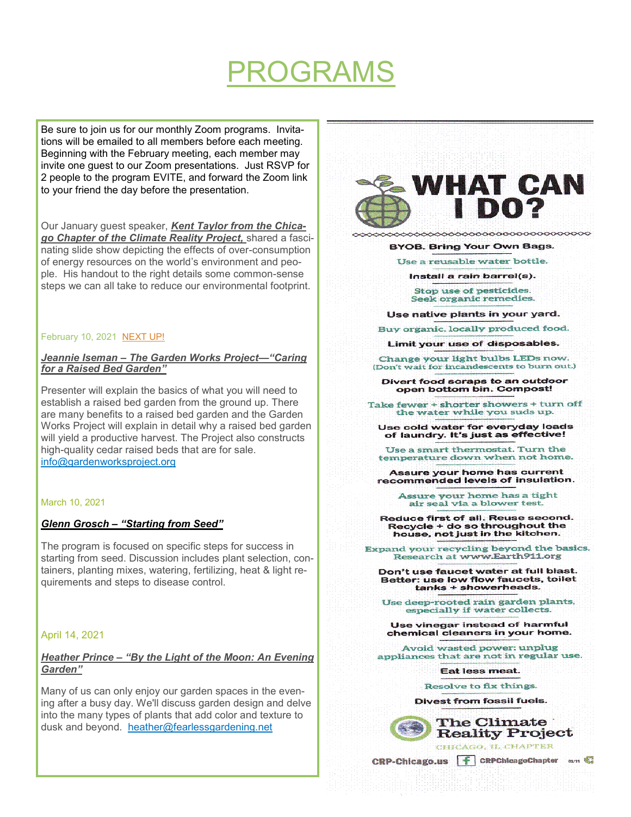# PROGRAMS

Be sure to join us for our monthly Zoom programs. Invitations will be emailed to all members before each meeting. Beginning with the February meeting, each member may invite one guest to our Zoom presentations. Just RSVP for 2 people to the program EVITE, and forward the Zoom link to your friend the day before the presentation.

Our January guest speaker, *Kent Taylor from the Chicago Chapter of the Climate Reality Project,* shared a fascinating slide show depicting the effects of over-consumption of energy resources on the world's environment and people. His handout to the right details some common-sense steps we can all take to reduce our environmental footprint.

#### February 10, 2021 NEXT UP!

#### *Jeannie Iseman – The Garden Works Project—"Caring for a Raised Bed Garden"*

Presenter will explain the basics of what you will need to establish a raised bed garden from the ground up. There are many benefits to a raised bed garden and the Garden Works Project will explain in detail why a raised bed garden will yield a productive harvest. The Project also constructs high-quality cedar raised beds that are for sale. [info@gardenworksproject.org](mailto:info@gardenworksproject.org)

#### March 10, 2021

#### *Glenn Grosch – "Starting from Seed"*

The program is focused on specific steps for success in starting from seed. Discussion includes plant selection, containers, planting mixes, watering, fertilizing, heat & light requirements and steps to disease control.

#### April 14, 2021

#### *Heather Prince – "By the Light of the Moon: An Evening Garden"*

Many of us can only enjoy our garden spaces in the evening after a busy day. We'll discuss garden design and delve into the many types of plants that add color and texture to dusk and beyond. [heather@fearlessgardening.net](mailto:heather@fearlessgardening.net)



 $\sim$ 

**BYOB, Bring Your Own Bags.** 

Use a reusable water bottle.

Install a rain barrel(s).

Stop use of pesticides. Seek organic remedies.

Use native plants in your yard.

Buy organic, locally produced food.

Limit your use of disposables.

Change your light bulbs LEDs now. (Don't wait for incandescents to burn out.)

Divert food scraps to an outdoor open bottom bin. Compost!

Take fewer + shorter showers + turn off the water while you suds up.

Use cold water for everyday loads<br>of laundry. It's just as effective!

Use a smart thermostat. Turn the temperature down when not home.

Assure your home has current recommended levels of insulation.

> Assure your home has a tight air seal via a blower test.

Reduce first of all. Reuse second. Recycle + do so throughout the house, not just in the kitchen.

Expand your recycling beyond the basics. Research at www.Earth911.org

Don't use faucet water at full blast. Better: use low flow faucets, toilet tanks + showerheads.

Use deep-rooted rain garden plants, especially if water collects.

Use vinegar instead of harmful chemical cleaners in your home.

Avoid wasted power: unplug appliances that are not in regular use.

**Eat less meat.** 

Resolve to fix things.

**Divest from fossil fuels.** 

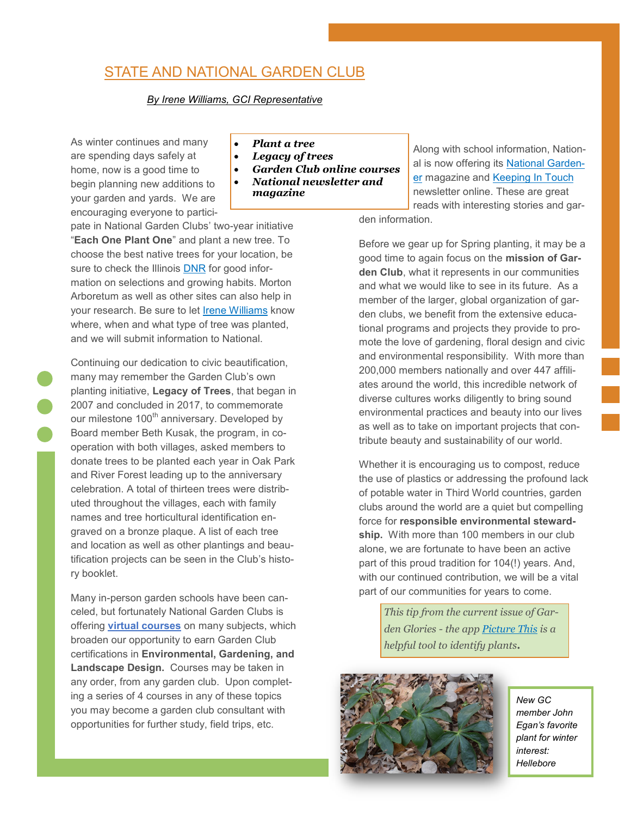## STATE AND NATIONAL GARDEN CLUB

#### *By Irene Williams, GCI Representative*

As winter continues and many are spending days safely at home, now is a good time to begin planning new additions to your garden and yards. We are encouraging everyone to partici-

• *Plant a tree*

- *Legacy of trees*
- *Garden Club online courses*
- *National newsletter and magazine*

pate in National Garden Clubs' two-year initiative "**Each One Plant One**" and plant a new tree. To choose the best native trees for your location, be sure to check the Illinois [DNR](https://www2.illinois.gov/dnr/conservation/Forestry/UrbanForestry/Pages/TRSelectionPlanting.aspx) for good information on selections and growing habits. Morton Arboretum as well as other sites can also help in your research. Be sure to let [Irene Williams](mailto:GaryIrene@att.net) know where, when and what type of tree was planted, and we will submit information to National.

Continuing our dedication to civic beautification, many may remember the Garden Club's own planting initiative, **Legacy of Trees**, that began in 2007 and concluded in 2017, to commemorate our milestone 100<sup>th</sup> anniversary. Developed by Board member Beth Kusak, the program, in cooperation with both villages, asked members to donate trees to be planted each year in Oak Park and River Forest leading up to the anniversary celebration. A total of thirteen trees were distributed throughout the villages, each with family names and tree horticultural identification engraved on a bronze plaque. A list of each tree and location as well as other plantings and beautification projects can be seen in the Club's history booklet.

Many in-person garden schools have been canceled, but fortunately National Garden Clubs is offering **[virtual courses](https://www.gardenclub.org/our-schools)** on many subjects, which broaden our opportunity to earn Garden Club certifications in **Environmental, Gardening, and Landscape Design.** Courses may be taken in any order, from any garden club. Upon completing a series of 4 courses in any of these topics you may become a garden club consultant with opportunities for further study, field trips, etc.

Along with school information, National is now offering its [National Garden](https://www.gardenclub.org/national-gardener-online)[er](https://www.gardenclub.org/national-gardener-online) magazine and [Keeping In Touch](https://www.gardenclub.org/keeping-touch) newsletter online. These are great reads with interesting stories and gar-

den information.

Before we gear up for Spring planting, it may be a good time to again focus on the **mission of Garden Club**, what it represents in our communities and what we would like to see in its future. As a member of the larger, global organization of garden clubs, we benefit from the extensive educational programs and projects they provide to promote the love of gardening, floral design and civic and environmental responsibility. With more than 200,000 members nationally and over 447 affiliates around the world, this incredible network of diverse cultures works diligently to bring sound environmental practices and beauty into our lives as well as to take on important projects that contribute beauty and sustainability of our world.

Whether it is encouraging us to compost, reduce the use of plastics or addressing the profound lack of potable water in Third World countries, garden clubs around the world are a quiet but compelling force for **responsible environmental stewardship.** With more than 100 members in our club alone, we are fortunate to have been an active part of this proud tradition for 104(!) years. And, with our continued contribution, we will be a vital part of our communities for years to come.

> *This tip from the current issue of Garden Glories - the app [Picture This](https://www.picturethisai.com/) is a helpful tool to identify plants.*



*New GC member John Egan's favorite plant for winter interest: Hellebore*